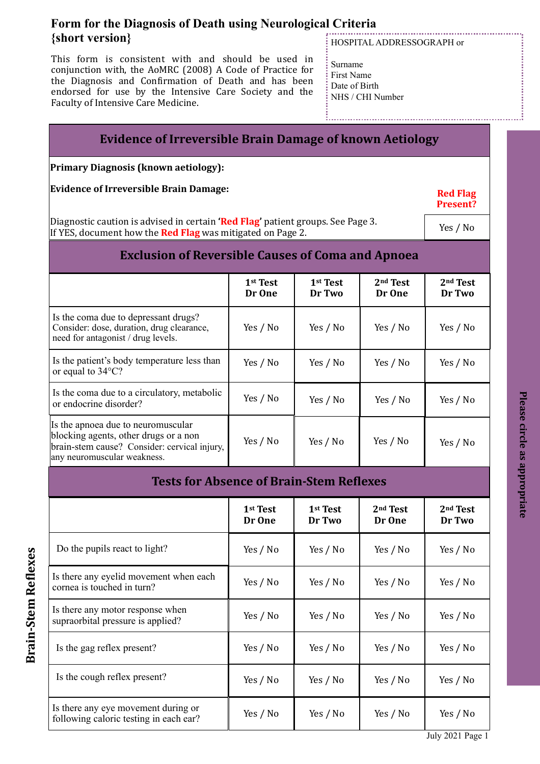This form is consistent with and should be used in conjunction with, the AoMRC (2008) A Code of Practice for the Diagnosis and Confirmation of Death and has been endorsed for use by the Intensive Care Society and the Faculty of Intensive Care Medicine.

# HOSPITAL ADDRESSOGRAPH or

Surname First Name Date of Birth NHS / CHI Number

# **Evidence of Irreversible Brain Damage of known Aetiology**

**Primary Diagnosis (known aetiology):**

**Evidence of Irreversible Brain Damage:** 

Diagnostic caution is advised in certain **'Red Flag'** patient groups. See Page 3. If YES, document how the **Red Flag** was mitigated on Page 2.

Yes / No

**Red Flag Present?**

**Please circle as appropriate**

Please circle as appropriate

# **Exclusion of Reversible Causes of Coma and Apnoea**

|                                                                                                                                                            | 1 <sup>st</sup> Test<br>Dr One | 1 <sup>st</sup> Test<br>Dr Two | 2 <sup>nd</sup> Test<br>Dr One | 2 <sup>nd</sup> Test<br>Dr Two |
|------------------------------------------------------------------------------------------------------------------------------------------------------------|--------------------------------|--------------------------------|--------------------------------|--------------------------------|
| Is the coma due to depressant drugs?<br>Consider: dose, duration, drug clearance,<br>need for antagonist / drug levels.                                    | Yes / No                       | Yes / No                       | Yes / No                       | Yes / No                       |
| Is the patient's body temperature less than<br>or equal to 34°C?                                                                                           | Yes / No                       | Yes / No                       | Yes / No                       | Yes / No                       |
| Is the coma due to a circulatory, metabolic<br>or endocrine disorder?                                                                                      | Yes / No                       | Yes / No                       | Yes / No                       | Yes / No                       |
| Is the apnoea due to neuromuscular<br>blocking agents, other drugs or a non<br>brain-stem cause? Consider: cervical injury,<br>any neuromuscular weakness. | Yes / No                       | Yes / No                       | Yes / No                       | Yes / No                       |

| <b>Tests for Absence of Brain-Stem Reflexes</b>                               |                                |                                |                      |                                |  |
|-------------------------------------------------------------------------------|--------------------------------|--------------------------------|----------------------|--------------------------------|--|
|                                                                               | 1 <sup>st</sup> Test<br>Dr One | 1 <sup>st</sup> Test<br>Dr Two | $2nd$ Test<br>Dr One | 2 <sup>nd</sup> Test<br>Dr Two |  |
| Do the pupils react to light?                                                 | Yes / No                       | Yes / No                       | Yes / No             | Yes / No                       |  |
| Is there any eyelid movement when each<br>cornea is touched in turn?          | Yes / No                       | Yes / No                       | Yes / No             | Yes / No                       |  |
| Is there any motor response when<br>supraorbital pressure is applied?         | Yes / No                       | Yes / No                       | Yes / No             | Yes / No                       |  |
| Is the gag reflex present?                                                    | Yes / No                       | Yes / No                       | Yes / No             | Yes / No                       |  |
| Is the cough reflex present?                                                  | Yes / No                       | Yes / No                       | Yes / No             | Yes / No                       |  |
| Is there any eye movement during or<br>following caloric testing in each ear? | Yes / No                       | Yes / No                       | Yes / No             | Yes / No                       |  |

**Brain-Stem Re Brain-Stem Reflexes** 

July 2021 Page 1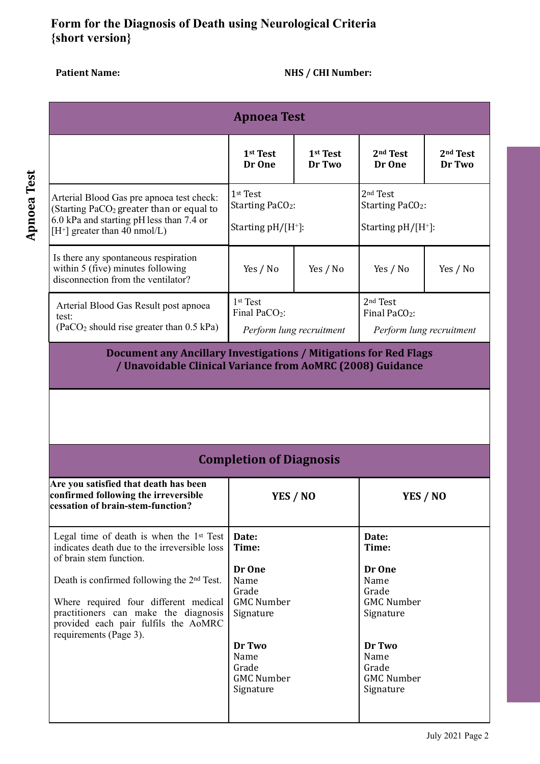# Patient Name: **MES** / CHI Number:

|                                                                                                                                                                                  | <b>Apnoea Test</b>                                                            |                                |                                                                               |                                |
|----------------------------------------------------------------------------------------------------------------------------------------------------------------------------------|-------------------------------------------------------------------------------|--------------------------------|-------------------------------------------------------------------------------|--------------------------------|
|                                                                                                                                                                                  | 1st Test<br>Dr One                                                            | 1 <sup>st</sup> Test<br>Dr Two | 2 <sup>nd</sup> Test<br>Dr One                                                | 2 <sup>nd</sup> Test<br>Dr Two |
| Arterial Blood Gas pre apnoea test check:<br>(Starting PaCO <sub>2</sub> greater than or equal to<br>6.0 kPa and starting pH less than 7.4 or<br>$[H^+]$ greater than 40 nmol/L) | 1 <sup>st</sup> Test<br>Starting PaCO <sub>2</sub> :<br>Starting $pH/[H^+]$ : |                                | 2 <sup>nd</sup> Test<br>Starting PaCO <sub>2</sub> :<br>Starting $pH/[H^+]$ : |                                |
| Is there any spontaneous respiration<br>within 5 (five) minutes following<br>disconnection from the ventilator?                                                                  | Yes / No                                                                      | Yes / No                       | Yes / No                                                                      | Yes / No                       |
| Arterial Blood Gas Result post apnoea<br>test:<br>$(PaCO2 should rise greater than 0.5 kPa)$                                                                                     | 1st Test<br>Final PaCO <sub>2</sub> :<br>Perform lung recruitment             |                                | 2 <sup>nd</sup> Test<br>Final PaCO <sub>2</sub> :<br>Perform lung recruitment |                                |
|                                                                                                                                                                                  | <b>Completion of Diagnosis</b>                                                |                                |                                                                               |                                |
| Are you satisfied that death has been<br>confirmed following the irreversible<br>cessation of brain-stem-function?                                                               | YES / NO                                                                      |                                | YES / NO                                                                      |                                |
|                                                                                                                                                                                  |                                                                               |                                |                                                                               |                                |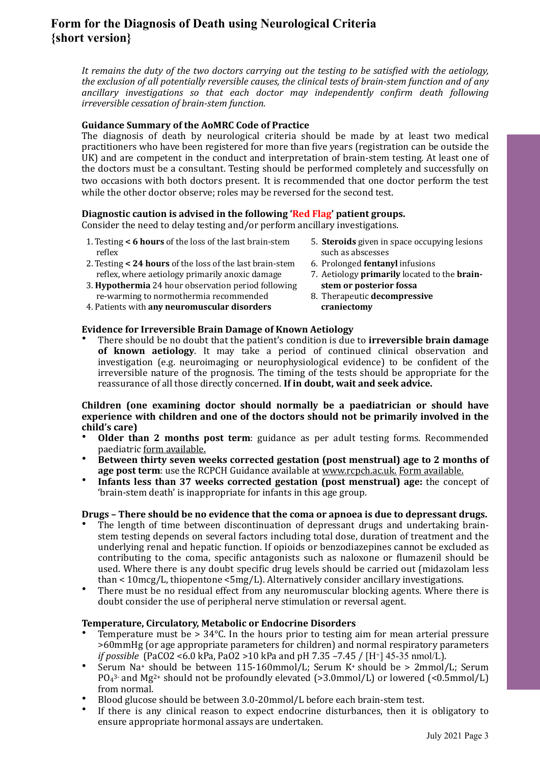It remains the duty of the two doctors carrying out the testing to be satisfied with the aetiology, *the exclusion of all potentially reversible causes, the clinical tests of brain-stem function and of any* ancillary investigations so that each doctor may independently confirm death following *irreversible cessation of brain-stem function.* 

# Guidance Summary of the AoMRC Code of Practice

The diagnosis of death by neurological criteria should be made by at least two medical practitioners who have been registered for more than five years (registration can be outside the UK) and are competent in the conduct and interpretation of brain-stem testing. At least one of the doctors must be a consultant. Testing should be performed completely and successfully on two occasions with both doctors present. It is recommended that one doctor perform the test while the other doctor observe; roles may be reversed for the second test.

# Diagnostic caution is advised in the following 'Red Flag' patient groups.

Consider the need to delay testing and/or perform ancillary investigations.

- 1. Testing < 6 hours of the loss of the last brain-stem reflex
- 2. Testing < 24 hours of the loss of the last brain-stem reflex, where aetiology primarily anoxic damage
- 3. **Hypothermia** 24 hour observation period following re-warming to normothermia recommended
- 4. Patients with **any neuromuscular disorders**

## **Evidence for Irreversible Brain Damage of Known Aetiology**

There should be no doubt that the patient's condition is due to **irreversible brain damage of known aetiology**. It may take a period of continued clinical observation and investigation (e.g. neuroimaging or neurophysiological evidence) to be confident of the irreversible nature of the prognosis. The timing of the tests should be appropriate for the reassurance of all those directly concerned. If in doubt, wait and seek advice.

### **Children** (one examining doctor should normally be a paediatrician or should have experience with children and one of the doctors should not be primarily involved in the **child's care)**

- **Older than 2 months post term**: guidance as per adult testing forms. Recommended paediatric form available.
- **Between thirty seven weeks corrected gestation (post menstrual) age to 2 months of age post term**: use the RCPCH Guidance available at www.rcpch.ac.uk. Form available.
- **Infants less than 37 weeks corrected gestation (post menstrual) age:** the concept of 'brain-stem death' is inappropriate for infants in this age group.

## **Drugs** – There should be no evidence that the coma or apnoea is due to depressant drugs.

- The length of time between discontinuation of depressant drugs and undertaking brainstem testing depends on several factors including total dose, duration of treatment and the underlying renal and hepatic function. If opioids or benzodiazepines cannot be excluded as contributing to the coma, specific antagonists such as naloxone or flumazenil should be used. Where there is any doubt specific drug levels should be carried out (midazolam less than  $\lt 10$ mcg/L, thiopentone  $\lt 5$ mg/L). Alternatively consider ancillary investigations.
- There must be no residual effect from any neuromuscular blocking agents. Where there is doubt consider the use of peripheral nerve stimulation or reversal agent.

## **Temperature, Circulatory, Metabolic or Endocrine Disorders**

- Temperature must be  $> 34^{\circ}$ C. In the hours prior to testing aim for mean arterial pressure >60mmHg (or age appropriate parameters for children) and normal respiratory parameters *if* possible (PaCO2 <6.0 kPa, PaO2 > 10 kPa and pH 7.35 –7.45 / [H<sup>+</sup>] 45-35 nmol/L).
- Serum Na+ should be between 115-160mmol/L; Serum K+ should be >  $2mmol/L$ ; Serum  $PO<sub>4</sub><sup>3</sup>$  and Mg<sup>2+</sup> should not be profoundly elevated (>3.0mmol/L) or lowered (<0.5mmol/L) from normal.
- Blood glucose should be between 3.0-20mmol/L before each brain-stem test.
- If there is any clinical reason to expect endocrine disturbances, then it is obligatory to ensure appropriate hormonal assays are undertaken.
- 5. **Steroids** given in space occupying lesions such as abscesses
- 6. Prolonged **fentanyl** infusions
- 7. Aetiology **primarily** located to the **brainstem or posterior fossa**
- 8. Therapeutic **decompressive craniectomy**